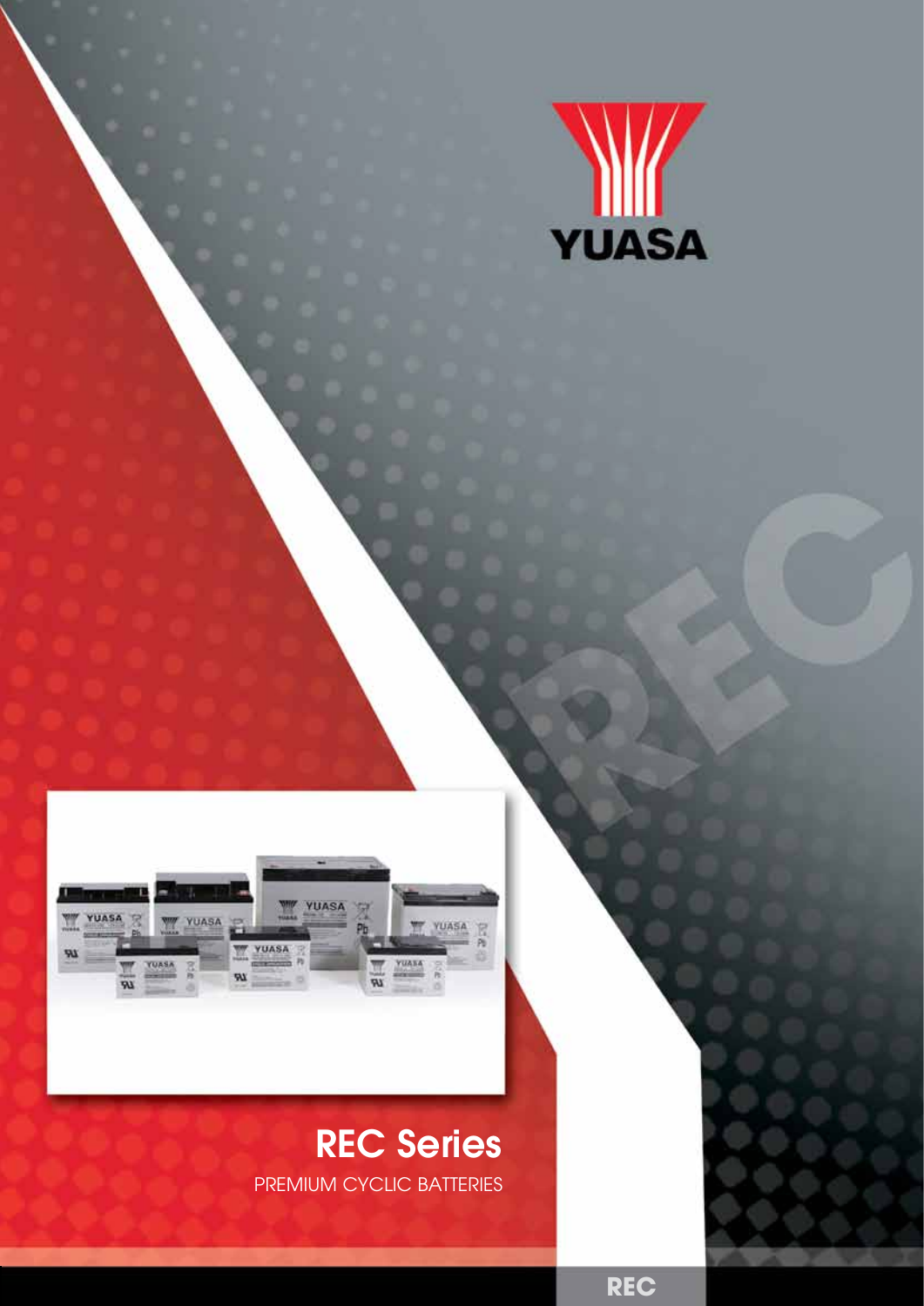



## REC Series

PREMIUM CYCLIC BATTERIES

**REC**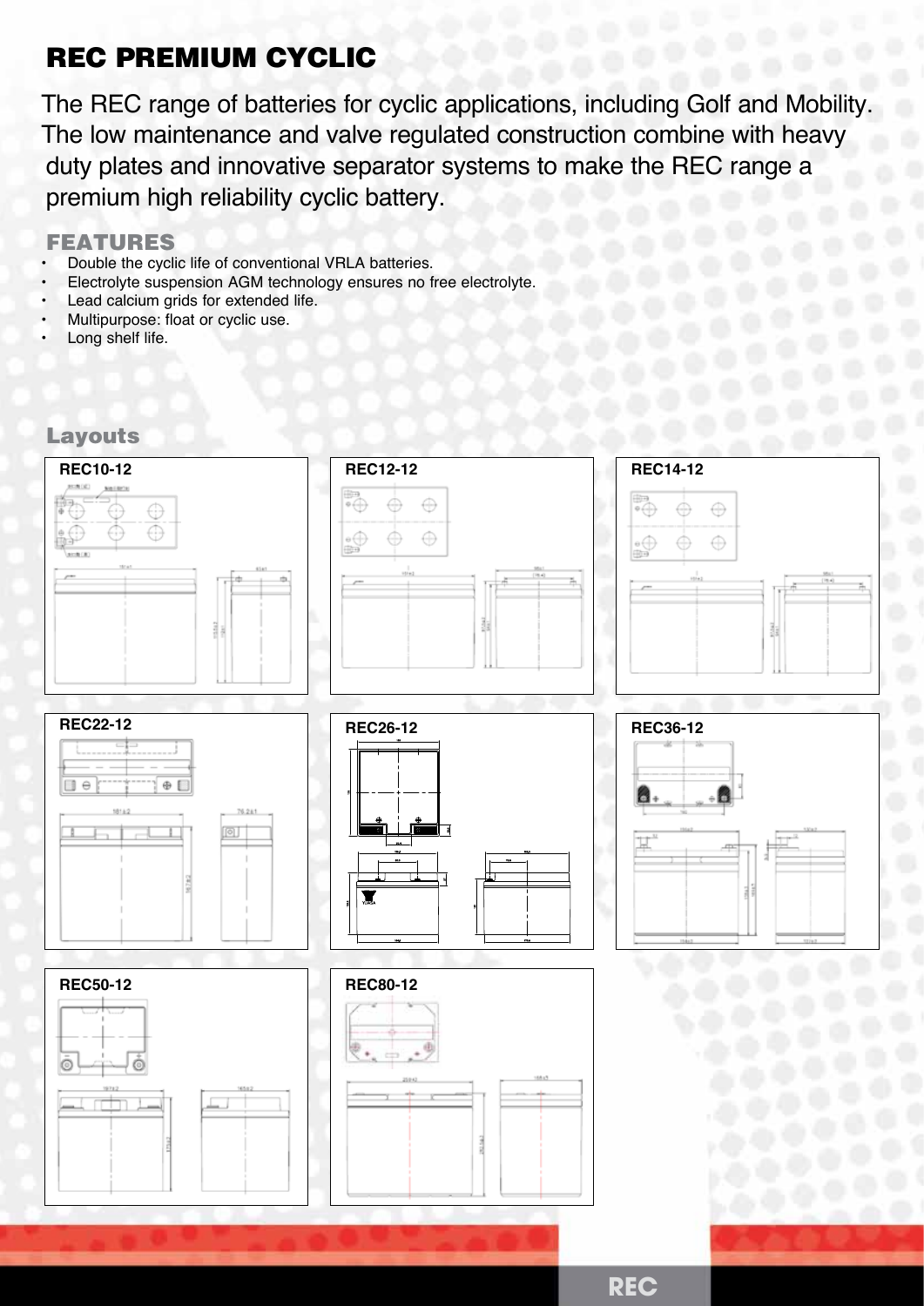### REC PREMIUM CYCLIC

The REC range of batteries for cyclic applications, including Golf and Mobility. The low maintenance and valve regulated construction combine with heavy duty plates and innovative separator systems to make the REC range a premium high reliability cyclic battery.

#### FEATURES

- Double the cyclic life of conventional VRLA batteries.
- Electrolyte suspension AGM technology ensures no free electrolyte.
- Lead calcium grids for extended life.
- Multipurpose: float or cyclic use.
- Long shelf life.

#### Layouts

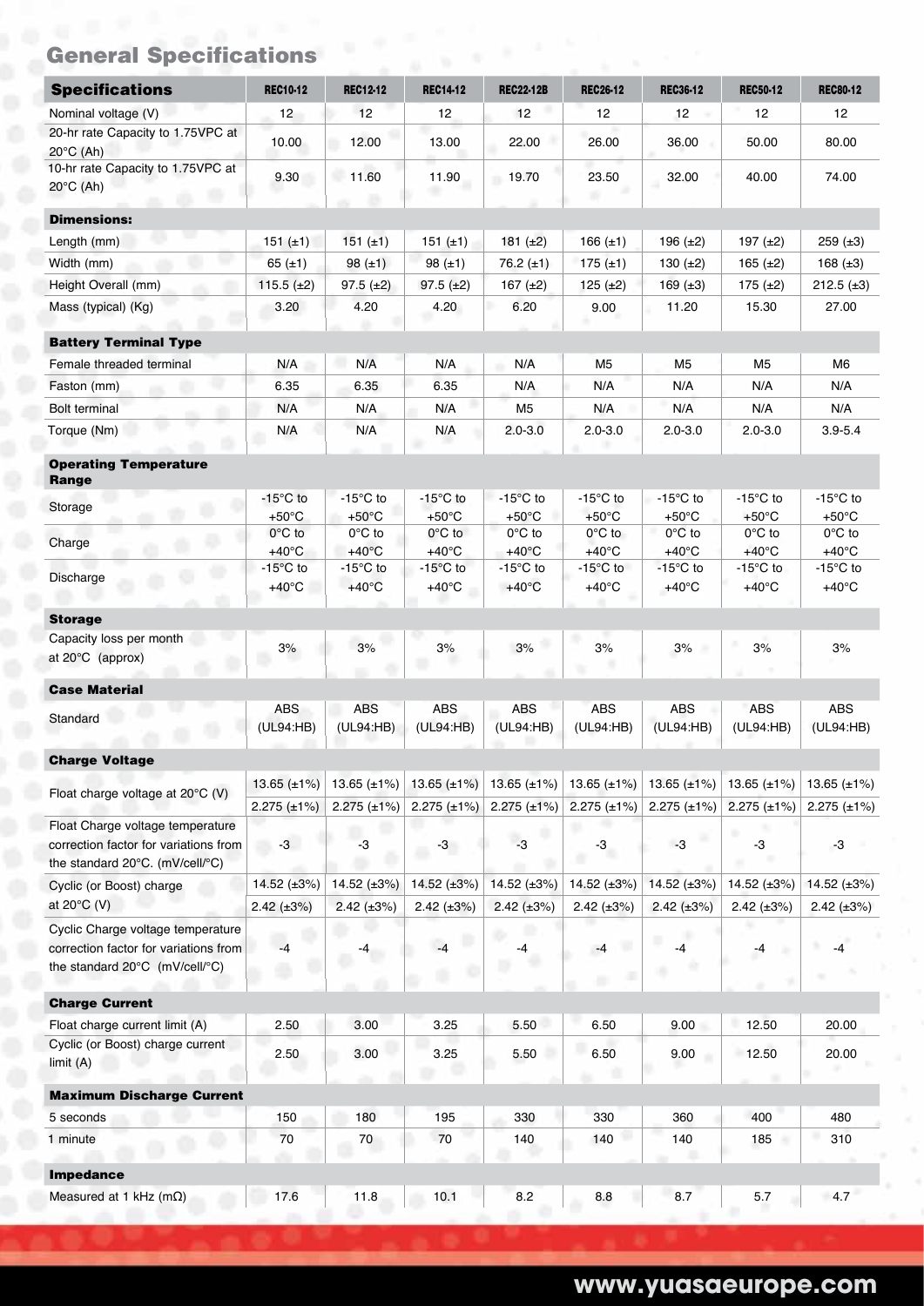|  | <b>General Specifications</b> |  |
|--|-------------------------------|--|
|  |                               |  |

| <b>Specifications</b>                                                    | <b>REC10-12</b>    | <b>REC12-12</b>         | <b>REC14-12</b>    | <b>REC22-12B</b>                          | <b>REC26-12</b>    | <b>REC36-12</b>    | <b>REC50-12</b>    | <b>REC80-12</b>     |
|--------------------------------------------------------------------------|--------------------|-------------------------|--------------------|-------------------------------------------|--------------------|--------------------|--------------------|---------------------|
| Nominal voltage (V)                                                      | 12                 | 12                      | 12                 | 12                                        | 12                 | 12                 | 12                 | 12 <sup>2</sup>     |
| 20-hr rate Capacity to 1.75VPC at                                        |                    |                         |                    |                                           |                    |                    |                    |                     |
| $20^{\circ}$ C (Ah)                                                      | 10.00              | 12.00                   | 13.00              | 22.00                                     | 26.00              | 36.00              | 50.00              | 80.00               |
| 10-hr rate Capacity to 1.75VPC at                                        | 9.30               | 11.60                   | 11.90              | 19.70                                     | 23.50              | 32.00              | 40.00              | 74.00               |
| $20^{\circ}$ C (Ah)                                                      |                    |                         |                    |                                           |                    |                    |                    |                     |
| <b>Dimensions:</b>                                                       |                    |                         |                    |                                           |                    |                    |                    |                     |
| Length (mm)                                                              | $151 (\pm 1)$      | 151 $(\pm 1)$           | 151 $(\pm 1)$      | 181 $(±2)$                                | 166 $(\pm 1)$      | 196 $(\pm 2)$      | 197 $(\pm 2)$      | 259 $(\pm 3)$       |
| Width (mm)                                                               |                    |                         | 98 $(\pm 1)$       | 76.2 $(\pm 1)$                            | $175 (\pm 1)$      |                    |                    | 168 $(\pm 3)$       |
|                                                                          | 65 $(\pm 1)$       | 98 $(\pm 1)$            |                    |                                           |                    | 130 $(\pm 2)$      | 165 $(\pm 2)$      |                     |
| Height Overall (mm)                                                      | 115.5 $(\pm 2)$    | $97.5 (\pm 2)$          | $97.5 (\pm 2)$     | 167 $(\pm 2)$                             | 125 $(\pm 2)$      | 169 $(\pm 3)$      | 175(.12)           | $212.5$ ( $\pm 3$ ) |
| Mass (typical) (Kg)                                                      | 3.20               | 4.20                    | 4.20               | 6.20                                      | 9.00               | 11.20              | 15.30              | 27.00               |
| <b>Battery Terminal Type</b>                                             |                    |                         |                    |                                           |                    |                    |                    |                     |
| Female threaded terminal                                                 | N/A                | N/A                     | N/A                | N/A                                       | M <sub>5</sub>     | M <sub>5</sub>     | M5                 | M6                  |
| Faston (mm)                                                              | 6.35               | 6.35                    | 6.35               | N/A                                       | N/A                | N/A                | N/A                | N/A                 |
| <b>Bolt terminal</b>                                                     | N/A                | N/A                     | N/A                | M5                                        | N/A                | N/A                | N/A                | N/A                 |
| m<br>Torque (Nm)                                                         | N/A                | N/A                     | N/A                | $2.0 - 3.0$                               | $2.0 - 3.0$        | $2.0 - 3.0$        | $2.0 - 3.0$        | $3.9 - 5.4$         |
|                                                                          |                    |                         |                    |                                           |                    |                    |                    |                     |
| <b>Operating Temperature</b>                                             |                    |                         |                    |                                           |                    |                    |                    |                     |
| Range                                                                    | $-15^{\circ}$ C to | $-15^{\circ}$ C to      | $-15^{\circ}$ C to | $-15^{\circ}$ C to                        | $-15^{\circ}$ C to | $-15^{\circ}$ C to | $-15^{\circ}$ C to | $-15^{\circ}$ C to  |
| Storage                                                                  | $+50^{\circ}$ C    | $+50^{\circ}$ C         | $+50^{\circ}$ C    | $+50^{\circ}$ C                           | $+50^{\circ}$ C    | $+50^{\circ}$ C    | $+50^{\circ}$ C    | $+50^{\circ}$ C     |
|                                                                          | $0^{\circ}$ C to   | 0°C to                  | $0^{\circ}$ C to   | $0^{\circ}$ C to                          | $0^{\circ}$ C to   | $0^{\circ}$ C to   | $0^{\circ}$ C to   | $0^{\circ}$ C to    |
| Charge                                                                   | $+40^{\circ}$ C    | $+40^{\circ}$ C         | $+40^{\circ}$ C    | $+40^{\circ}$ C                           | $+40^{\circ}$ C    | $+40^{\circ}$ C    | $+40^{\circ}$ C    | $+40^{\circ}$ C     |
| ۰<br>Discharge                                                           | $-15^{\circ}$ C to | $-15^{\circ}$ C to      | $-15^{\circ}$ C to | $-15^{\circ}$ C to                        | $-15^{\circ}$ C to | $-15^{\circ}$ C to | $-15^{\circ}$ C to | $-15^{\circ}$ C to  |
|                                                                          | $+40^{\circ}$ C    | $+40^{\circ}$ C         | $+40^{\circ}$ C    | $+40^{\circ}$ C                           | $+40^{\circ}$ C    | $+40^{\circ}$ C    | $+40^{\circ}$ C    | $+40^{\circ}$ C     |
| <b>Storage</b>                                                           |                    |                         |                    |                                           |                    |                    |                    |                     |
| Capacity loss per month                                                  |                    |                         |                    |                                           |                    |                    | ×                  |                     |
| at $20^{\circ}$ C (approx)                                               | 3%                 | 3%                      | 3%                 | 3%                                        | 3%                 | 3%                 | 3%                 | 3%                  |
|                                                                          |                    |                         |                    |                                           |                    |                    |                    |                     |
| <b>Case Material</b>                                                     |                    |                         |                    |                                           | <b>ABS</b>         | <b>ABS</b>         | <b>ABS</b>         | <b>ABS</b>          |
| Standard                                                                 | ABS<br>(UL94:HB)   | <b>ABS</b><br>(UL94:HB) | ABS<br>(UL94:HB)   | ABS<br>(UL94:HB)                          | (UL94:HB)          | (UL94:HB)          | (UL94:HB)          | (UL94:HB)           |
|                                                                          |                    |                         |                    |                                           |                    |                    |                    |                     |
| <b>Charge Voltage</b>                                                    |                    |                         |                    |                                           |                    |                    |                    |                     |
| Float charge voltage at 20°C (V)                                         | 13.65 $(\pm 1\%)$  | 13.65 $(\pm 1\%)$       | 13.65 $(\pm 1\%)$  | 13.65 $(\pm 1\%)$                         | $13.65 (\pm 1\%)$  | 13.65 $(\pm 1\%)$  | 13.65 $(\pm 1\%)$  | 13.65 $(\pm 1\%)$   |
|                                                                          | $2.275$ (±1%)      | $2.275$ (±1%)           | $2.275$ (±1%)      | $2.275 \ (\pm 1\%)$                       | $2.275 (\pm 1\%)$  | $2.275$ (±1%)      | 2.275 $(\pm 1\%)$  | $2.275 (\pm 1\%)$   |
| Float Charge voltage temperature                                         |                    |                         |                    |                                           |                    |                    | ٠                  |                     |
| correction factor for variations from<br>the standard 20°C. (mV/cell/°C) | $-3$<br>26         | $-3$                    | $-3$               | $-3$                                      | $-3$               | $-3$               | $-3$               | $-3$                |
|                                                                          |                    |                         |                    |                                           |                    | 14.52 $(\pm 3\%)$  |                    |                     |
| Cyclic (or Boost) charge                                                 | 14.52 (±3%)        | 14.52 $(\pm 3\%)$       | 14.52 $(\pm 3\%)$  | 14.52 $(\pm 3\%)$                         | 14.52 $(\pm 3\%)$  |                    | 14.52 $(\pm 3\%)$  | 14.52 $(\pm 3\%)$   |
| at $20^{\circ}$ C (V)                                                    | $2.42 \ (\pm 3\%)$ | $2.42 \ (\pm 3\%)$      | $2.42 \ (\pm 3\%)$ | $2.42 \ (\pm 3\%)$                        | $2.42 \ (\pm 3\%)$ | $2.42 \ (\pm 3\%)$ | $2.42 \ (\pm 3\%)$ | $2.42 \ (\pm 3\%)$  |
| Cyclic Charge voltage temperature                                        |                    |                         | $-4$               | $\mathcal{L}_{\mathcal{P}}^{\mathcal{P}}$ |                    | ш<br>$-4$          |                    |                     |
| correction factor for variations from                                    | -4                 |                         |                    | -4                                        | $-4$               |                    | -4                 | $-4$                |
| the standard 20°C (mV/cell/°C)                                           |                    |                         |                    |                                           |                    | ٠                  |                    |                     |
| <b>Charge Current</b>                                                    |                    |                         |                    |                                           |                    |                    |                    |                     |
| Float charge current limit (A)                                           | 2.50               | 3.00                    | 3.25               | 5.50                                      | 6.50               | 9.00               | 12.50<br>٠         | 20.00               |
| Cyclic (or Boost) charge current                                         |                    |                         |                    |                                           |                    |                    |                    |                     |
| limit(A)                                                                 | 2.50               | 3.00                    | 3.25               | 5.50                                      | 6.50               | 9.00               | 12.50              | 20.00               |
|                                                                          |                    |                         |                    |                                           |                    |                    |                    |                     |
| <b>Maximum Discharge Current</b>                                         |                    |                         |                    |                                           |                    |                    |                    |                     |
| 5 seconds                                                                | 150                | 180                     | 195                | 330                                       | 330                | 360                | 400                | 480                 |
| 1 minute                                                                 | $70\,$             | 70                      | 70                 | 140                                       | 140                | 140                | 185                | 310                 |
| <b>Impedance</b>                                                         |                    |                         |                    |                                           |                    |                    |                    |                     |
|                                                                          |                    |                         |                    |                                           |                    |                    |                    |                     |